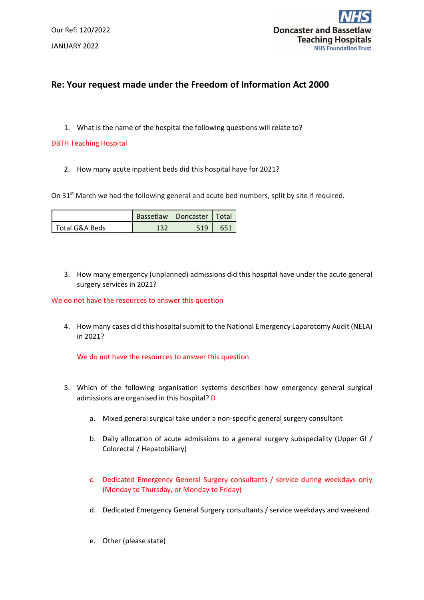Our Ref: 120/2022 JANUARY 2022



## **Re: Your request made under the Freedom of Information Act 2000**

1. What is the name of the hospital the following questions will relate to?

## DBTH Teaching Hospital

2. How many acute inpatient beds did this hospital have for 2021?

On 31<sup>st</sup> March we had the following general and acute bed numbers, split by site if required.

|                  |       | Bassetlaw   Doncaster   Total |  |
|------------------|-------|-------------------------------|--|
| l Total G&A Beds | 1 ־ כ |                               |  |

3. How many emergency (unplanned) admissions did this hospital have under the acute general surgery services in 2021?

## We do not have the resources to answer this question

4. How many cases did this hospital submit to the National Emergency Laparotomy Audit (NELA) in 2021?

We do not have the resources to answer this question

- 5. Which of the following organisation systems describes how emergency general surgical admissions are organised in this hospital? D
	- a. Mixed general surgical take under a non-specific general surgery consultant
	- b. Daily allocation of acute admissions to a general surgery subspeciality (Upper GI / Colorectal / Hepatobiliary)
	- c. Dedicated Emergency General Surgery consultants / service during weekdays only (Monday to Thursday, or Monday to Friday)
	- d. Dedicated Emergency General Surgery consultants / service weekdays and weekend
	- e. Other (please state)